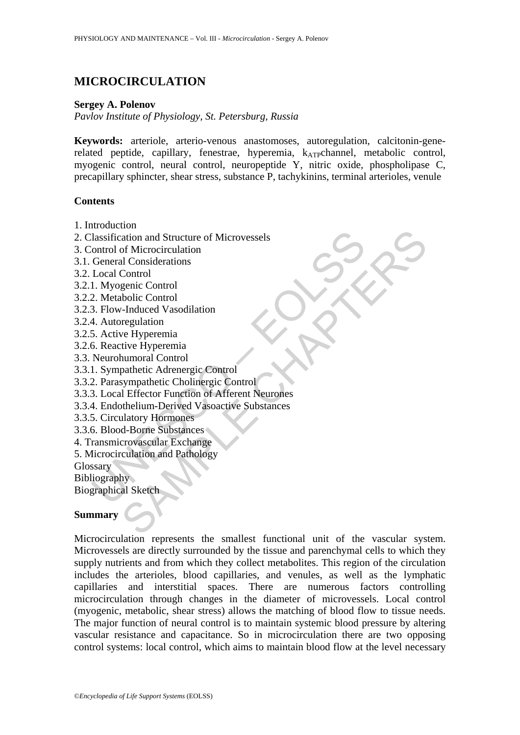# **MICROCIRCULATION**

### **Sergey A. Polenov**

*Pavlov Institute of Physiology, St. Petersburg, Russia* 

**Keywords:** arteriole, arterio-venous anastomoses, autoregulation, calcitonin-generelated peptide, capillary, fenestrae, hyperemia, k<sub>ATP</sub>channel, metabolic control, myogenic control, neural control, neuropeptide Y, nitric oxide, phospholipase C, precapillary sphincter, shear stress, substance P, tachykinins, terminal arterioles, venule

#### **Contents**

- 1. Introduction
- 2. Classification and Structure of Microvessels
- 3. Control of Microcirculation
- 3.1. General Considerations
- 3.2. Local Control
- 3.2.1. Myogenic Control
- 3.2.2. Metabolic Control
- 3.2.3. Flow-Induced Vasodilation
- 3.2.4. Autoregulation
- 3.2.5. Active Hyperemia
- 3.2.6. Reactive Hyperemia
- 3.3. Neurohumoral Control
- 3.3.1. Sympathetic Adrenergic Control
- 3.3.2. Parasympathetic Cholinergic Control
- lassification and Structure of Microvessels<br>
Control of Microcirculation<br>
Ceneral Considerations<br>
Local Control<br>
1. Myogenic Control<br>
3. Flow-Induced Vasodilation<br>
4. Autoregulation<br>
A. Autoregulation<br>
Neurohumoral Control the district of Microsesels<br>
artion and Structure of Microvessels<br>
of Microcirculation<br>
Control<br>
Control<br>
Control<br>
Control<br>
agenic Control<br>
bolic Control<br>
are Hyperemia<br>
eregulation<br>
we Hyperemia<br>
pathetic Chapter Control<br> 3.3.3. Local Effector Function of Afferent Neurones
- 3.3.4. Endothelium-Derived Vasoactive Substances
- 3.3.5. Circulatory Hormones
- 3.3.6. Blood-Borne Substances
- 4. Transmicrovascular Exchange
- 5. Microcirculation and Pathology

**Glossary** 

Bibliography

Biographical Sketch

#### **Summary**

Microcirculation represents the smallest functional unit of the vascular system. Microvessels are directly surrounded by the tissue and parenchymal cells to which they supply nutrients and from which they collect metabolites. This region of the circulation includes the arterioles, blood capillaries, and venules, as well as the lymphatic capillaries and interstitial spaces. There are numerous factors controlling microcirculation through changes in the diameter of microvessels. Local control (myogenic, metabolic, shear stress) allows the matching of blood flow to tissue needs. The major function of neural control is to maintain systemic blood pressure by altering vascular resistance and capacitance. So in microcirculation there are two opposing control systems: local control, which aims to maintain blood flow at the level necessary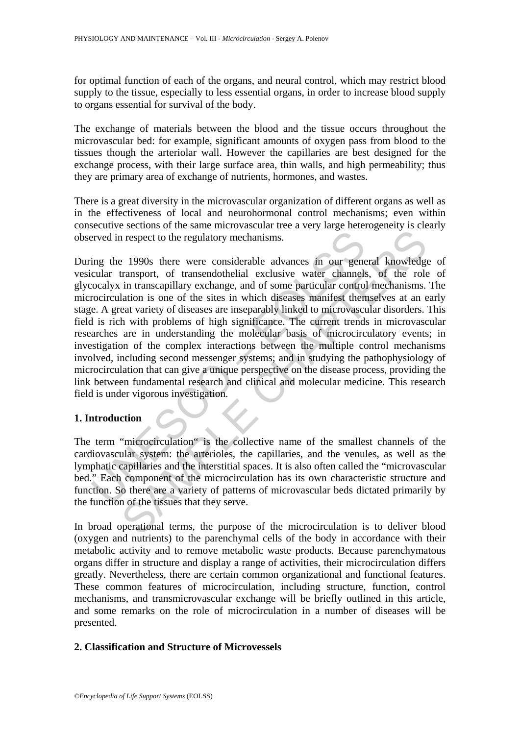for optimal function of each of the organs, and neural control, which may restrict blood supply to the tissue, especially to less essential organs, in order to increase blood supply to organs essential for survival of the body.

The exchange of materials between the blood and the tissue occurs throughout the microvascular bed: for example, significant amounts of oxygen pass from blood to the tissues though the arteriolar wall. However the capillaries are best designed for the exchange process, with their large surface area, thin walls, and high permeability; thus they are primary area of exchange of nutrients, hormones, and wastes.

There is a great diversity in the microvascular organization of different organs as well as in the effectiveness of local and neurohormonal control mechanisms; even within consecutive sections of the same microvascular tree a very large heterogeneity is clearly observed in respect to the regulatory mechanisms.

erved in respect to the regulatory mechanisms.<br>
ing the 1990s there were considerable advances in our gene<br>
cular transport, of transendothelial exclusive water channels<br>
cocalys in transcapillary exchange, and of some par is respect to the regulatory mechanisms.<br>
In respect to the regulatory mechanisms.<br>
2 1990s there were considerable advances in our general knowledge<br>
transport, of transendothelial exclusive water channels, of the role<br>
i During the 1990s there were considerable advances in our general knowledge of vesicular transport, of transendothelial exclusive water channels, of the role of glycocalyx in transcapillary exchange, and of some particular control mechanisms. The microcirculation is one of the sites in which diseases manifest themselves at an early stage. A great variety of diseases are inseparably linked to microvascular disorders. This field is rich with problems of high significance. The current trends in microvascular researches are in understanding the molecular basis of microcirculatory events; in investigation of the complex interactions between the multiple control mechanisms involved, including second messenger systems; and in studying the pathophysiology of microcirculation that can give a unique perspective on the disease process, providing the link between fundamental research and clinical and molecular medicine. This research field is under vigorous investigation.

# **1. Introduction**

The term "microcirculation" is the collective name of the smallest channels of the cardiovascular system: the arterioles, the capillaries, and the venules, as well as the lymphatic capillaries and the interstitial spaces. It is also often called the "microvascular bed." Each component of the microcirculation has its own characteristic structure and function. So there are a variety of patterns of microvascular beds dictated primarily by the function of the tissues that they serve.

In broad operational terms, the purpose of the microcirculation is to deliver blood (oxygen and nutrients) to the parenchymal cells of the body in accordance with their metabolic activity and to remove metabolic waste products. Because parenchymatous organs differ in structure and display a range of activities, their microcirculation differs greatly. Nevertheless, there are certain common organizational and functional features. These common features of microcirculation, including structure, function, control mechanisms, and transmicrovascular exchange will be briefly outlined in this article, and some remarks on the role of microcirculation in a number of diseases will be presented.

#### **2. Classification and Structure of Microvessels**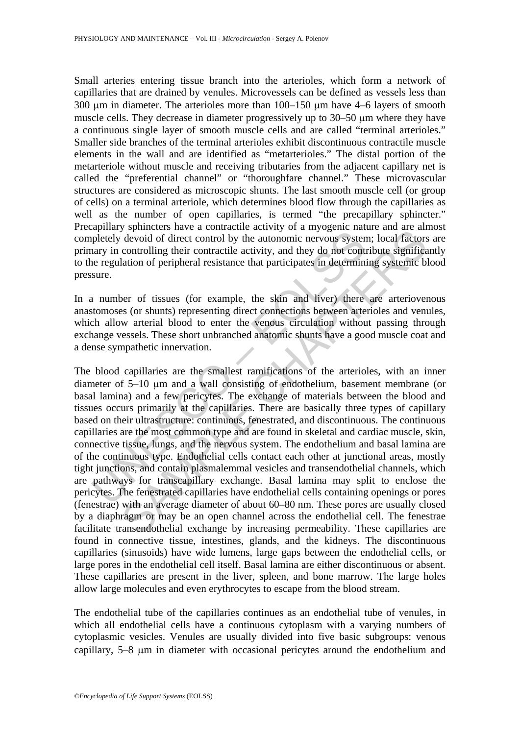Small arteries entering tissue branch into the arterioles, which form a network of capillaries that are drained by venules. Microvessels can be defined as vessels less than 300 μm in diameter. The arterioles more than 100–150 μm have 4–6 layers of smooth muscle cells. They decrease in diameter progressively up to 30–50 μm where they have a continuous single layer of smooth muscle cells and are called "terminal arterioles." Smaller side branches of the terminal arterioles exhibit discontinuous contractile muscle elements in the wall and are identified as "metarterioles." The distal portion of the metarteriole without muscle and receiving tributaries from the adjacent capillary net is called the "preferential channel" or "thoroughfare channel." These microvascular structures are considered as microscopic shunts. The last smooth muscle cell (or group of cells) on a terminal arteriole, which determines blood flow through the capillaries as well as the number of open capillaries, is termed "the precapillary sphincter." Precapillary sphincters have a contractile activity of a myogenic nature and are almost completely devoid of direct control by the autonomic nervous system; local factors are primary in controlling their contractile activity, and they do not contribute significantly to the regulation of peripheral resistance that participates in determining systemic blood pressure.

In a number of tissues (for example, the skin and liver) there are arteriovenous anastomoses (or shunts) representing direct connections between arterioles and venules, which allow arterial blood to enter the venous circulation without passing through exchange vessels. These short unbranched anatomic shunts have a good muscle coat and a dense sympathetic innervation.

Expense to the control and the control weak that the control peletely devoid of direct control by the autonomic nervous system and peletely devoid of direct control by the autonomic nervous system and per simple the permin symmeters and a constant activity of a minycent nature and are am<br>devoid of direct control by the autonomic nervous system; local factors<br>controlling their contractile activity, and they do not contribute significa<br>lation The blood capillaries are the smallest ramifications of the arterioles, with an inner diameter of 5–10 μm and a wall consisting of endothelium, basement membrane (or basal lamina) and a few pericytes. The exchange of materials between the blood and tissues occurs primarily at the capillaries. There are basically three types of capillary based on their ultrastructure: continuous, fenestrated, and discontinuous. The continuous capillaries are the most common type and are found in skeletal and cardiac muscle, skin, connective tissue, lungs, and the nervous system. The endothelium and basal lamina are of the continuous type. Endothelial cells contact each other at junctional areas, mostly tight junctions, and contain plasmalemmal vesicles and transendothelial channels, which are pathways for transcapillary exchange. Basal lamina may split to enclose the pericytes. The fenestrated capillaries have endothelial cells containing openings or pores (fenestrae) with an average diameter of about 60–80 nm. These pores are usually closed by a diaphragm or may be an open channel across the endothelial cell. The fenestrae facilitate transendothelial exchange by increasing permeability. These capillaries are found in connective tissue, intestines, glands, and the kidneys. The discontinuous capillaries (sinusoids) have wide lumens, large gaps between the endothelial cells, or large pores in the endothelial cell itself. Basal lamina are either discontinuous or absent. These capillaries are present in the liver, spleen, and bone marrow. The large holes allow large molecules and even erythrocytes to escape from the blood stream.

The endothelial tube of the capillaries continues as an endothelial tube of venules, in which all endothelial cells have a continuous cytoplasm with a varying numbers of cytoplasmic vesicles. Venules are usually divided into five basic subgroups: venous capillary, 5–8 μm in diameter with occasional pericytes around the endothelium and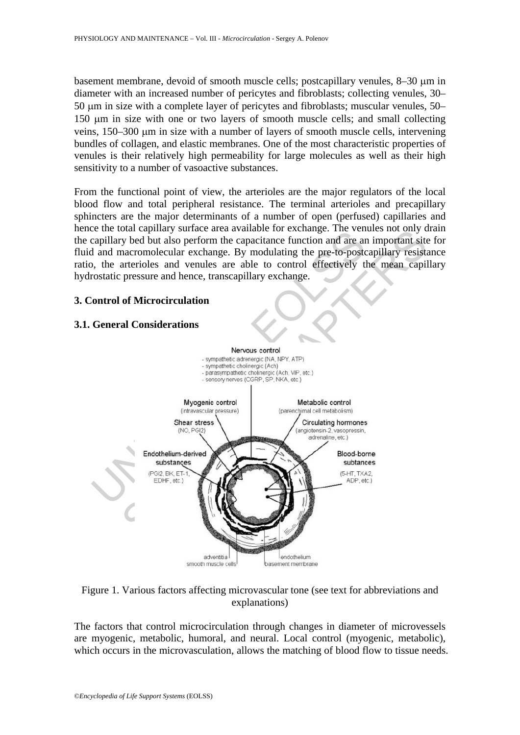basement membrane, devoid of smooth muscle cells; postcapillary venules, 8–30 μm in diameter with an increased number of pericytes and fibroblasts; collecting venules, 30– 50 μm in size with a complete layer of pericytes and fibroblasts; muscular venules, 50– 150 μm in size with one or two layers of smooth muscle cells; and small collecting veins, 150–300 μm in size with a number of layers of smooth muscle cells, intervening bundles of collagen, and elastic membranes. One of the most characteristic properties of venules is their relatively high permeability for large molecules as well as their high sensitivity to a number of vasoactive substances.

From the functional point of view, the arterioles are the major regulators of the local blood flow and total peripheral resistance. The terminal arterioles and precapillary sphincters are the major determinants of a number of open (perfused) capillaries and hence the total capillary surface area available for exchange. The venules not only drain the capillary bed but also perform the capacitance function and are an important site for fluid and macromolecular exchange. By modulating the pre-to-postcapillary resistance ratio, the arterioles and venules are able to control effectively the mean capillary hydrostatic pressure and hence, transcapillary exchange.

#### **3. Control of Microcirculation**

### **3.1. General Considerations**



#### Figure 1. Various factors affecting microvascular tone (see text for abbreviations and explanations)

The factors that control microcirculation through changes in diameter of microvessels are myogenic, metabolic, humoral, and neural. Local control (myogenic, metabolic), which occurs in the microvasculation, allows the matching of blood flow to tissue needs.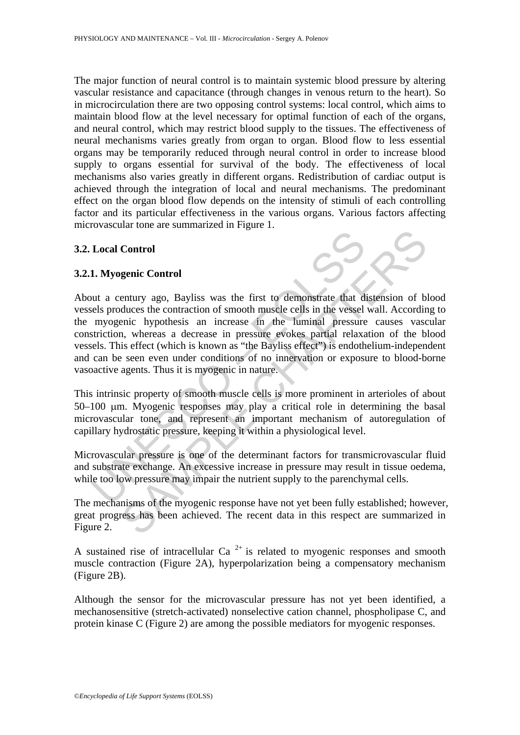The major function of neural control is to maintain systemic blood pressure by altering vascular resistance and capacitance (through changes in venous return to the heart). So in microcirculation there are two opposing control systems: local control, which aims to maintain blood flow at the level necessary for optimal function of each of the organs, and neural control, which may restrict blood supply to the tissues. The effectiveness of neural mechanisms varies greatly from organ to organ. Blood flow to less essential organs may be temporarily reduced through neural control in order to increase blood supply to organs essential for survival of the body. The effectiveness of local mechanisms also varies greatly in different organs. Redistribution of cardiac output is achieved through the integration of local and neural mechanisms. The predominant effect on the organ blood flow depends on the intensity of stimuli of each controlling factor and its particular effectiveness in the various organs. Various factors affecting microvascular tone are summarized in Figure 1.

#### **3.2. Local Control**

#### **3.2.1. Myogenic Control**

Local Control<br>
1. Myogenic Control<br>
1. Myogenic Control<br>
1. Myogenic Londrol<br>
1. Myogenic hypothesis an increase in the luminal pressure<br>
myogenic hypothesis an increase in the luminal pressure<br>
striction, whereas a decrea Control<br>
Senic Control<br>
Senic Control<br>
Senic Control<br>
Senic Control of shooth muscle cells in the vessel wall. According<br>
duces the contraction of smooth muscle cells in the sessel wall. According<br>
in whereas a decrease in About a century ago, Bayliss was the first to demonstrate that distension of blood vessels produces the contraction of smooth muscle cells in the vessel wall. According to the myogenic hypothesis an increase in the luminal pressure causes vascular constriction, whereas a decrease in pressure evokes partial relaxation of the blood vessels. This effect (which is known as "the Bayliss effect") is endothelium-independent and can be seen even under conditions of no innervation or exposure to blood-borne vasoactive agents. Thus it is myogenic in nature.

This intrinsic property of smooth muscle cells is more prominent in arterioles of about 50–100 μm. Myogenic responses may play a critical role in determining the basal microvascular tone, and represent an important mechanism of autoregulation of capillary hydrostatic pressure, keeping it within a physiological level.

Microvascular pressure is one of the determinant factors for transmicrovascular fluid and substrate exchange. An excessive increase in pressure may result in tissue oedema, while too low pressure may impair the nutrient supply to the parenchymal cells.

The mechanisms of the myogenic response have not yet been fully established; however, great progress has been achieved. The recent data in this respect are summarized in Figure 2.

A sustained rise of intracellular Ca<sup>2+</sup> is related to myogenic responses and smooth muscle contraction (Figure 2A), hyperpolarization being a compensatory mechanism (Figure 2B).

Although the sensor for the microvascular pressure has not yet been identified, a mechanosensitive (stretch-activated) nonselective cation channel, phospholipase C, and protein kinase C (Figure 2) are among the possible mediators for myogenic responses.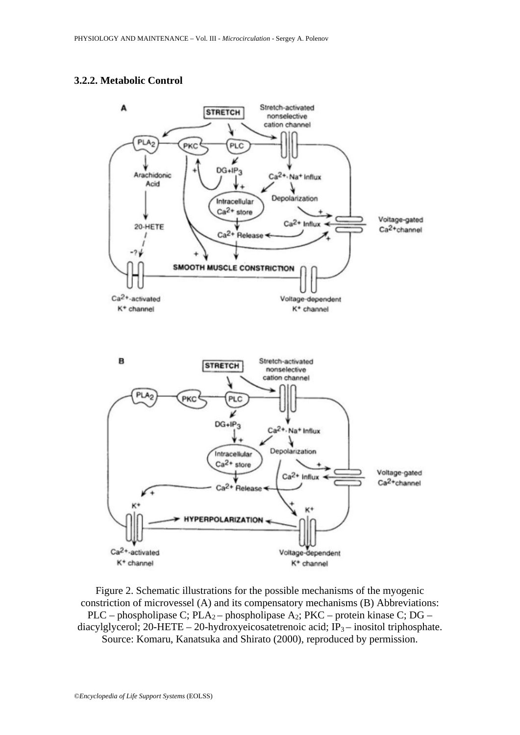#### **3.2.2. Metabolic Control**



Figure 2. Schematic illustrations for the possible mechanisms of the myogenic constriction of microvessel (A) and its compensatory mechanisms (B) Abbreviations: PLC – phospholipase C; PLA<sub>2</sub> – phospholipase A<sub>2</sub>; PKC – protein kinase C; DG – diacylglycerol; 20-HETE – 20-hydroxyeicosatetrenoic acid;  $IP_3$  – inositol triphosphate. Source: Komaru, Kanatsuka and Shirato (2000), reproduced by permission.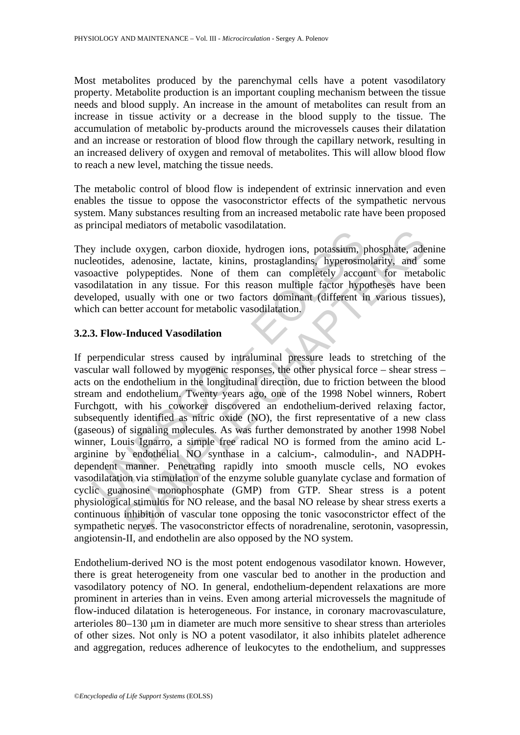Most metabolites produced by the parenchymal cells have a potent vasodilatory property. Metabolite production is an important coupling mechanism between the tissue needs and blood supply. An increase in the amount of metabolites can result from an increase in tissue activity or a decrease in the blood supply to the tissue. The accumulation of metabolic by-products around the microvessels causes their dilatation and an increase or restoration of blood flow through the capillary network, resulting in an increased delivery of oxygen and removal of metabolites. This will allow blood flow to reach a new level, matching the tissue needs.

The metabolic control of blood flow is independent of extrinsic innervation and even enables the tissue to oppose the vasoconstrictor effects of the sympathetic nervous system. Many substances resulting from an increased metabolic rate have been proposed as principal mediators of metabolic vasodilatation.

They include oxygen, carbon dioxide, hydrogen ions, potassium, phosphate, adenine nucleotides, adenosine, lactate, kinins, prostaglandins, hyperosmolarity, and some vasoactive polypeptides. None of them can completely account for metabolic vasodilatation in any tissue. For this reason multiple factor hypotheses have been developed, usually with one or two factors dominant (different in various tissues), which can better account for metabolic vasodilatation.

## **3.2.3. Flow-Induced Vasodilation**

Trainington (and more interesting representation of the mass consideration in any time polyperides. None of them can completely accondulatation in any tissue. For this reason multiple factor hypochidiation in any tissue. F Internative metals. As the consisting, phosphate, and phosphate, and phosphate. Someonie, lactate, kinins, prostaglandins, hyperosmolarity, and sponglypeptides. None of them can completely account for metals ion in any tis If perpendicular stress caused by intraluminal pressure leads to stretching of the vascular wall followed by myogenic responses, the other physical force – shear stress – acts on the endothelium in the longitudinal direction, due to friction between the blood stream and endothelium. Twenty years ago, one of the 1998 Nobel winners, Robert Furchgott, with his coworker discovered an endothelium-derived relaxing factor, subsequently identified as nitric oxide (NO), the first representative of a new class (gaseous) of signaling molecules. As was further demonstrated by another 1998 Nobel winner, Louis Ignarro, a simple free radical NO is formed from the amino acid Larginine by endothelial NO synthase in a calcium-, calmodulin-, and NADPHdependent manner. Penetrating rapidly into smooth muscle cells, NO evokes vasodilatation via stimulation of the enzyme soluble guanylate cyclase and formation of cyclic guanosine monophosphate (GMP) from GTP. Shear stress is a potent physiological stimulus for NO release, and the basal NO release by shear stress exerts a continuous inhibition of vascular tone opposing the tonic vasoconstrictor effect of the sympathetic nerves. The vasoconstrictor effects of noradrenaline, serotonin, vasopressin, angiotensin-II, and endothelin are also opposed by the NO system.

Endothelium-derived NO is the most potent endogenous vasodilator known. However, there is great heterogeneity from one vascular bed to another in the production and vasodilatory potency of NO. In general, endothelium-dependent relaxations are more prominent in arteries than in veins. Even among arterial microvessels the magnitude of flow-induced dilatation is heterogeneous. For instance, in coronary macrovasculature, arterioles 80–130 μm in diameter are much more sensitive to shear stress than arterioles of other sizes. Not only is NO a potent vasodilator, it also inhibits platelet adherence and aggregation, reduces adherence of leukocytes to the endothelium, and suppresses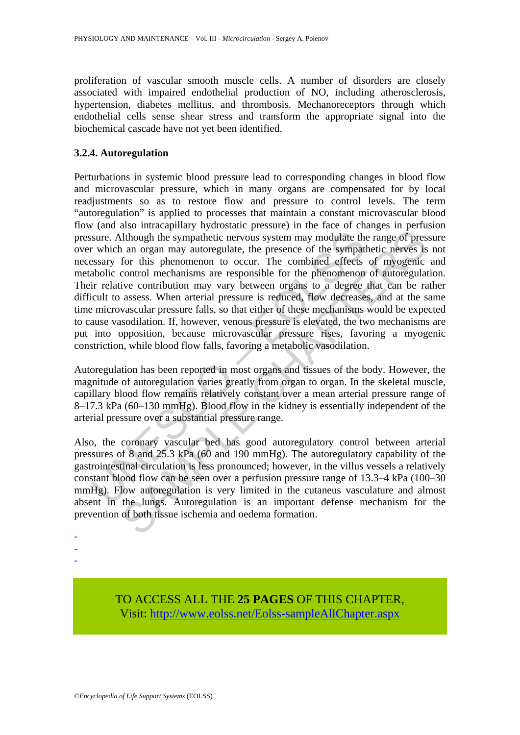proliferation of vascular smooth muscle cells. A number of disorders are closely associated with impaired endothelial production of NO, including atherosclerosis, hypertension, diabetes mellitus, and thrombosis. Mechanoreceptors through which endothelial cells sense shear stress and transform the appropriate signal into the biochemical cascade have not yet been identified.

# **3.2.4. Autoregulation**

sure. Although the sympathetic nervous system may modulate the which an organ may autoregulate, the presence of the sympathesiasary for this phenomenon to occur. The combined effects abolic control mechanisms are responsib and three parallocal processure presence of the current method flough the sympathetic nervous system may modulate the range of pressure and or occur. The combined effects of myogenic ortrol mechanisms are responsible for Perturbations in systemic blood pressure lead to corresponding changes in blood flow and microvascular pressure, which in many organs are compensated for by local readjustments so as to restore flow and pressure to control levels. The term "autoregulation" is applied to processes that maintain a constant microvascular blood flow (and also intracapillary hydrostatic pressure) in the face of changes in perfusion pressure. Although the sympathetic nervous system may modulate the range of pressure over which an organ may autoregulate, the presence of the sympathetic nerves is not necessary for this phenomenon to occur. The combined effects of myogenic and metabolic control mechanisms are responsible for the phenomenon of autoregulation. Their relative contribution may vary between organs to a degree that can be rather difficult to assess. When arterial pressure is reduced, flow decreases, and at the same time microvascular pressure falls, so that either of these mechanisms would be expected to cause vasodilation. If, however, venous pressure is elevated, the two mechanisms are put into opposition, because microvascular pressure rises, favoring a myogenic constriction, while blood flow falls, favoring a metabolic vasodilation.

Autoregulation has been reported in most organs and tissues of the body. However, the magnitude of autoregulation varies greatly from organ to organ. In the skeletal muscle, capillary blood flow remains relatively constant over a mean arterial pressure range of 8–17.3 kPa (60–130 mmHg). Blood flow in the kidney is essentially independent of the arterial pressure over a substantial pressure range.

Also, the coronary vascular bed has good autoregulatory control between arterial pressures of 8 and 25.3 kPa (60 and 190 mmHg). The autoregulatory capability of the gastrointestinal circulation is less pronounced; however, in the villus vessels a relatively constant blood flow can be seen over a perfusion pressure range of 13.3–4 kPa (100–30 mmHg). Flow autoregulation is very limited in the cutaneus vasculature and almost absent in the lungs. Autoregulation is an important defense mechanism for the prevention of both tissue ischemia and oedema formation.

- - -

> TO ACCESS ALL THE **25 PAGES** OF THIS CHAPTER, Visit: [http://www.eolss.net/Eolss-sampleAllChapter.aspx](https://www.eolss.net/ebooklib/sc_cart.aspx?File=E6-54-07-04)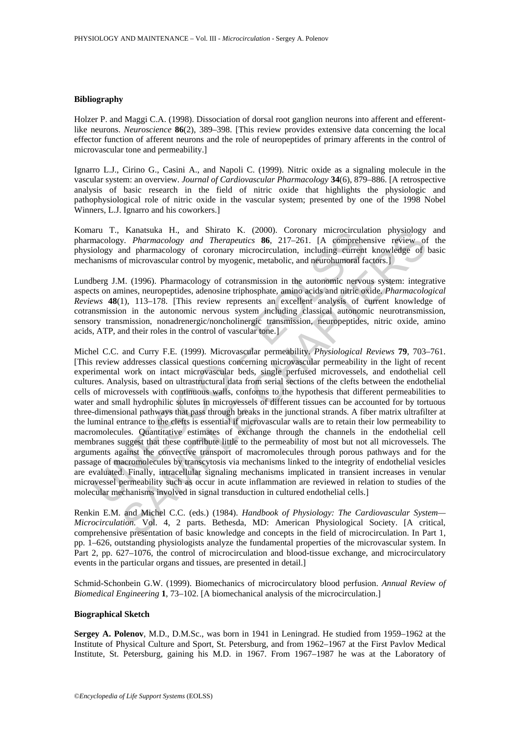#### **Bibliography**

Holzer P. and Maggi C.A. (1998). Dissociation of dorsal root ganglion neurons into afferent and efferentlike neurons. *Neuroscience* **86**(2), 389–398. [This review provides extensive data concerning the local effector function of afferent neurons and the role of neuropeptides of primary afferents in the control of microvascular tone and permeability.]

Ignarro L.J., Cirino G., Casini A., and Napoli C. (1999). Nitric oxide as a signaling molecule in the vascular system: an overview. *Journal of Cardiovascular Pharmacology* **34**(6), 879–886. [A retrospective analysis of basic research in the field of nitric oxide that highlights the physiologic and pathophysiological role of nitric oxide in the vascular system; presented by one of the 1998 Nobel Winners, L.J. Ignarro and his coworkers.]

Komaru T., Kanatsuka H., and Shirato K. (2000). Coronary microcirculation physiology and pharmacology*. Pharmacology and Therapeutics* **86**, 217–261. [A comprehensive review of the physiology and pharmacology of coronary microcirculation, including current knowledge of basic mechanisms of microvascular control by myogenic, metabolic, and neurohumoral factors.]

Lundberg J.M. (1996). Pharmacology of cotransmission in the autonomic nervous system: integrative aspects on amines, neuropeptides, adenosine triphosphate, amino acids and nitric oxide*. Pharmacological Reviews* **48**(1), 113–178. [This review represents an excellent analysis of current knowledge of cotransmission in the autonomic nervous system including classical autonomic neurotransmission, sensory transmission, nonadrenergic/noncholinergic transmission, neuropeptides, nitric oxide, amino acids, ATP, and their roles in the control of vascular tone.]

art 1, Kanastista H., and Shirato K. (2000). Coronary merocurcula<br>macology. *Pharmacology and Therapeutics* **86.** 217–261. [A comprehe macology and pharmacology of coronary microcirculation, including current<br>anisms of mic Kanatsuka H<sub>1,</sub> and Shirato K. (2000). Coronary microcirculation physiology<br>y. Pharmacology and Therapeutics 86, 217-261. [A comprehensive review of<br>of microvascular control by myogenic, metabolic, and neurohnmoral factor Michel C.C. and Curry F.E. (1999). Microvascular permeability. *Physiological Reviews* **79**, 703–761. [This review addresses classical questions concerning microvascular permeability in the light of recent experimental work on intact microvascular beds, single perfused microvessels, and endothelial cell cultures. Analysis, based on ultrastructural data from serial sections of the clefts between the endothelial cells of microvessels with continuous walls, conforms to the hypothesis that different permeabilities to water and small hydrophilic solutes in microvessels of different tissues can be accounted for by tortuous three-dimensional pathways that pass through breaks in the junctional strands. A fiber matrix ultrafilter at the luminal entrance to the clefts is essential if microvascular walls are to retain their low permeability to macromolecules. Quantitative estimates of exchange through the channels in the endothelial cell membranes suggest that these contribute little to the permeability of most but not all microvessels. The arguments against the convective transport of macromolecules through porous pathways and for the passage of macromolecules by transcytosis via mechanisms linked to the integrity of endothelial vesicles are evaluated. Finally, intracellular signaling mechanisms implicated in transient increases in venular microvessel permeability such as occur in acute inflammation are reviewed in relation to studies of the molecular mechanisms involved in signal transduction in cultured endothelial cells.]

Renkin E.M. and Michel C.C. (eds.) (1984). *Handbook of Physiology: The Cardiovascular System— Microcirculation.* Vol. 4, 2 parts. Bethesda, MD: American Physiological Society. [A critical, comprehensive presentation of basic knowledge and concepts in the field of microcirculation. In Part 1, pp. 1–626, outstanding physiologists analyze the fundamental properties of the microvascular system. In Part 2, pp. 627–1076, the control of microcirculation and blood-tissue exchange, and microcirculatory events in the particular organs and tissues, are presented in detail.]

Schmid-Schonbein G.W. (1999). Biomechanics of microcirculatory blood perfusion. *Annual Review of Biomedical Engineering* **1**, 73–102. [A biomechanical analysis of the microcirculation.]

#### **Biographical Sketch**

**Sergey A. Polenov**, M.D., D.M.Sc., was born in 1941 in Leningrad. He studied from 1959–1962 at the Institute of Physical Culture and Sport, St. Petersburg, and from 1962–1967 at the First Pavlov Medical Institute, St. Petersburg, gaining his M.D. in 1967. From 1967–1987 he was at the Laboratory of